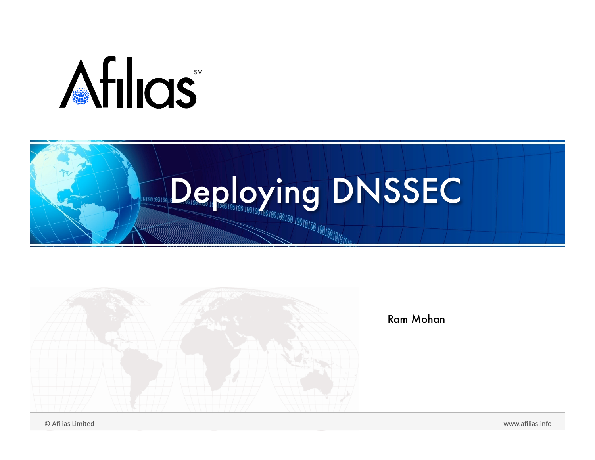## Afilias





Ram Mohan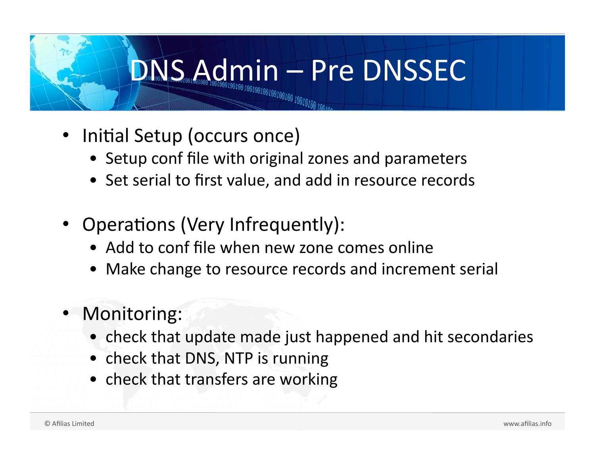#### DNSSEC

- Initial Setup (occurs once)
	- Setup conf file with original zones and parameters
	- Set serial to first value, and add in resource records
- Operations (Very Infrequently):
	- Add to confile when new zone comes online
	- Make change to resource records and increment serial
- Monitoring:
	- check that update made just happened and hit secondaries
	- check that DNS, NTP is running
	- check that transfers are working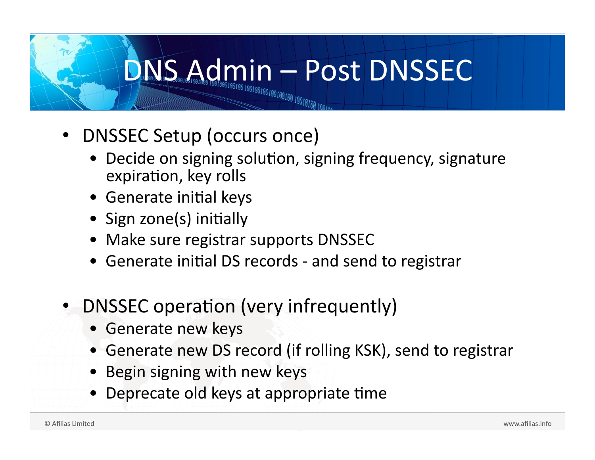### DNSSECTIONS

- DNSSEC
Setup
(occurs
once)
	- Decide on signing solution, signing frequency, signature expiration, key rolls
	- Generate initial keys
	- Sign zone(s) initially
	- Make sure registrar supports DNSSEC
	- Generate initial DS records and send to registrar
- DNSSEC operation (very infrequently)
	- Generate
	new
	keys
	- Generate new DS record (if rolling KSK), send to registrar
	- Begin signing with new keys
	- Deprecate old keys at appropriate time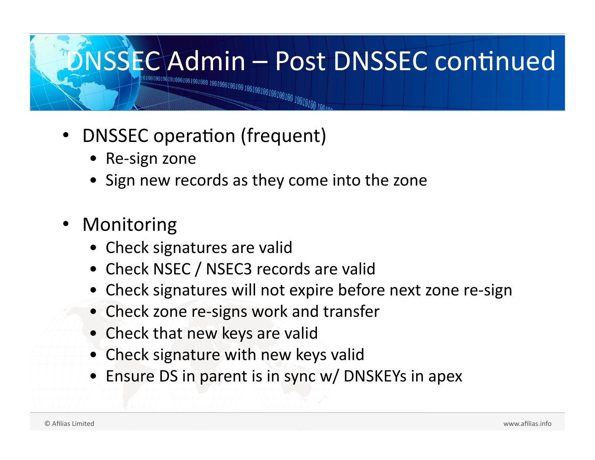

- DNSSEC operation (frequent)
	- Re‐sign
	zone
	- Sign new records as they come into the zone
- **Monitoring** 
	- Check signatures are valid
	- Check NSEC / NSEC3 records are valid
	- Check signatures will not expire before next zone re-sign
	- Check zone re-signs work and transfer
	- Check that new keys are valid
	- Check signature with new keys valid
	- Ensure DS in parent is in sync w/ DNSKEYs in apex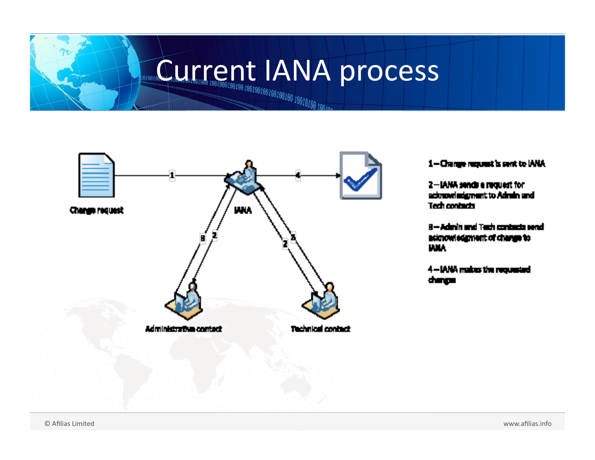### **Current IANA process**



1-Change request is sent to IANA

2-IANA sends a request for acknowledgment to Admin and Tech contacts

8-Admin and Tach contacts send acknowledgment of change to **UMA** 

4-IANA makes the requested dungan